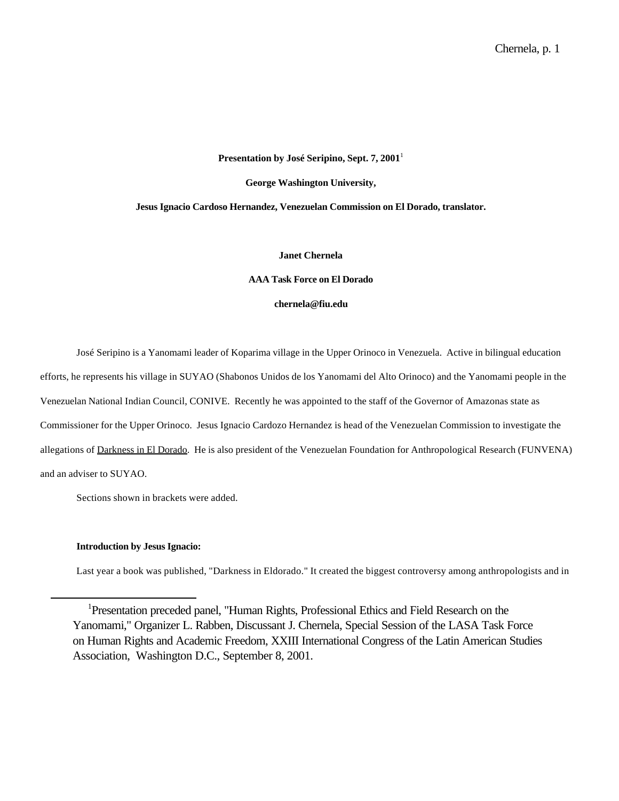#### **Presentation by José Seripino, Sept. 7, 2001**<sup>1</sup>

**George Washington University,**

# **Jesus Ignacio Cardoso Hernandez, Venezuelan Commission on El Dorado, translator.**

**Janet Chernela**

**AAA Task Force on El Dorado**

**chernela@fiu.edu**

José Seripino is a Yanomami leader of Koparima village in the Upper Orinoco in Venezuela. Active in bilingual education efforts, he represents his village in SUYAO (Shabonos Unidos de los Yanomami del Alto Orinoco) and the Yanomami people in the Venezuelan National Indian Council, CONIVE. Recently he was appointed to the staff of the Governor of Amazonas state as Commissioner for the Upper Orinoco. Jesus Ignacio Cardozo Hernandez is head of the Venezuelan Commission to investigate the allegations of Darkness in El Dorado. He is also president of the Venezuelan Foundation for Anthropological Research (FUNVENA) and an adviser to SUYAO.

Sections shown in brackets were added.

#### **Introduction by Jesus Ignacio:**

l

Last year a book was published, "Darkness in Eldorado." It created the biggest controversy among anthropologists and in

<sup>1</sup>Presentation preceded panel, "Human Rights, Professional Ethics and Field Research on the Yanomami," Organizer L. Rabben, Discussant J. Chernela, Special Session of the LASA Task Force on Human Rights and Academic Freedom, XXIII International Congress of the Latin American Studies Association, Washington D.C., September 8, 2001.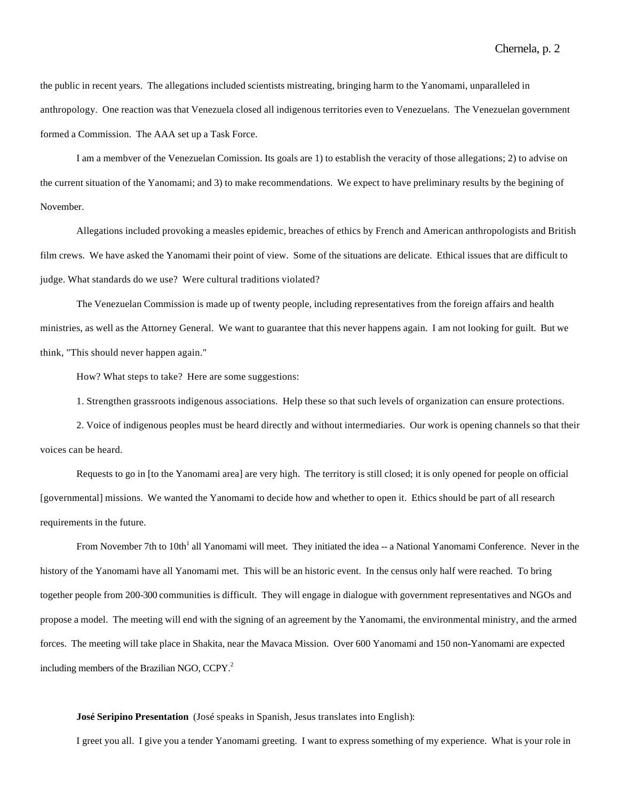the public in recent years. The allegations included scientists mistreating, bringing harm to the Yanomami, unparalleled in anthropology. One reaction was that Venezuela closed all indigenous territories even to Venezuelans. The Venezuelan government formed a Commission. The AAA set up a Task Force.

I am a membver of the Venezuelan Comission. Its goals are 1) to establish the veracity of those allegations; 2) to advise on the current situation of the Yanomami; and 3) to make recommendations. We expect to have preliminary results by the begining of November.

Allegations included provoking a measles epidemic, breaches of ethics by French and American anthropologists and British film crews. We have asked the Yanomami their point of view. Some of the situations are delicate. Ethical issues that are difficult to judge. What standards do we use? Were cultural traditions violated?

The Venezuelan Commission is made up of twenty people, including representatives from the foreign affairs and health ministries, as well as the Attorney General. We want to guarantee that this never happens again. I am not looking for guilt. But we think, "This should never happen again."

How? What steps to take? Here are some suggestions:

1. Strengthen grassroots indigenous associations. Help these so that such levels of organization can ensure protections.

2. Voice of indigenous peoples must be heard directly and without intermediaries. Our work is opening channels so that their voices can be heard.

Requests to go in [to the Yanomami area] are very high. The territory is still closed; it is only opened for people on official [governmental] missions. We wanted the Yanomami to decide how and whether to open it. Ethics should be part of all research requirements in the future.

From November 7th to 10th<sup>1</sup> all Yanomami will meet. They initiated the idea -- a National Yanomami Conference. Never in the history of the Yanomami have all Yanomami met. This will be an historic event. In the census only half were reached. To bring together people from 200-300 communities is difficult. They will engage in dialogue with government representatives and NGOs and propose a model. The meeting will end with the signing of an agreement by the Yanomami, the environmental ministry, and the armed forces. The meeting will take place in Shakita, near the Mavaca Mission. Over 600 Yanomami and 150 non-Yanomami are expected including members of the Brazilian NGO, CCPY.<sup>2</sup>

# **José Seripino Presentation** (José speaks in Spanish, Jesus translates into English):

I greet you all. I give you a tender Yanomami greeting. I want to express something of my experience. What is your role in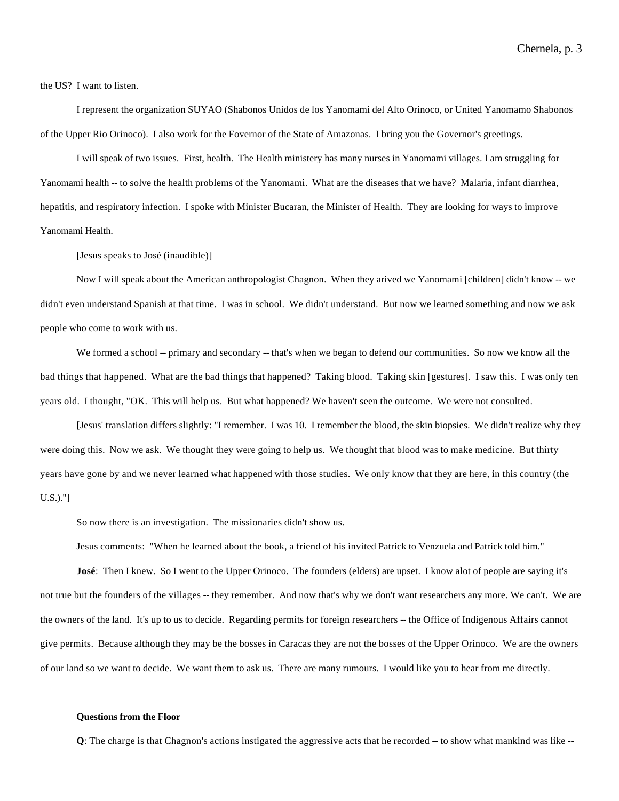the US? I want to listen.

I represent the organization SUYAO (Shabonos Unidos de los Yanomami del Alto Orinoco, or United Yanomamo Shabonos of the Upper Rio Orinoco). I also work for the Fovernor of the State of Amazonas. I bring you the Governor's greetings.

I will speak of two issues. First, health. The Health ministery has many nurses in Yanomami villages. I am struggling for Yanomami health -- to solve the health problems of the Yanomami. What are the diseases that we have? Malaria, infant diarrhea, hepatitis, and respiratory infection. I spoke with Minister Bucaran, the Minister of Health. They are looking for ways to improve Yanomami Health.

[Jesus speaks to José (inaudible)]

Now I will speak about the American anthropologist Chagnon. When they arived we Yanomami [children] didn't know -- we didn't even understand Spanish at that time. I was in school. We didn't understand. But now we learned something and now we ask people who come to work with us.

We formed a school -- primary and secondary -- that's when we began to defend our communities. So now we know all the bad things that happened. What are the bad things that happened? Taking blood. Taking skin [gestures]. I saw this. I was only ten years old. I thought, "OK. This will help us. But what happened? We haven't seen the outcome. We were not consulted.

[Jesus' translation differs slightly: "I remember. I was 10. I remember the blood, the skin biopsies. We didn't realize why they were doing this. Now we ask. We thought they were going to help us. We thought that blood was to make medicine. But thirty years have gone by and we never learned what happened with those studies. We only know that they are here, in this country (the U.S.)."]

So now there is an investigation. The missionaries didn't show us.

Jesus comments: "When he learned about the book, a friend of his invited Patrick to Venzuela and Patrick told him."

**José**: Then I knew. So I went to the Upper Orinoco. The founders (elders) are upset. I know alot of people are saying it's not true but the founders of the villages -- they remember. And now that's why we don't want researchers any more. We can't. We are the owners of the land. It's up to us to decide. Regarding permits for foreign researchers -- the Office of Indigenous Affairs cannot give permits. Because although they may be the bosses in Caracas they are not the bosses of the Upper Orinoco. We are the owners of our land so we want to decide. We want them to ask us. There are many rumours. I would like you to hear from me directly.

### **Questions from the Floor**

**Q**: The charge is that Chagnon's actions instigated the aggressive acts that he recorded -- to show what mankind was like --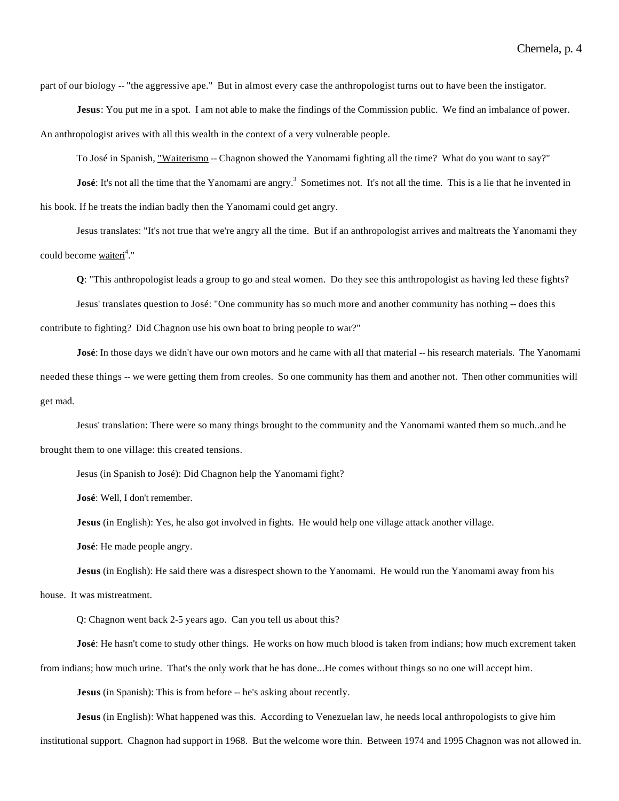part of our biology -- "the aggressive ape." But in almost every case the anthropologist turns out to have been the instigator.

**Jesus**: You put me in a spot. I am not able to make the findings of the Commission public. We find an imbalance of power. An anthropologist arives with all this wealth in the context of a very vulnerable people.

To José in Spanish, "Waiterismo -- Chagnon showed the Yanomami fighting all the time? What do you want to say?"

**José**: It's not all the time that the Yanomami are angry.<sup>3</sup> Sometimes not. It's not all the time. This is a lie that he invented in his book. If he treats the indian badly then the Yanomami could get angry.

Jesus translates: "It's not true that we're angry all the time. But if an anthropologist arrives and maltreats the Yanomami they could become <u>waiteri</u><sup>4</sup>."

**Q**: "This anthropologist leads a group to go and steal women. Do they see this anthropologist as having led these fights?

Jesus' translates question to José: "One community has so much more and another community has nothing -- does this contribute to fighting? Did Chagnon use his own boat to bring people to war?"

**José**: In those days we didn't have our own motors and he came with all that material -- his research materials. The Yanomami needed these things -- we were getting them from creoles. So one community has them and another not. Then other communities will get mad.

Jesus' translation: There were so many things brought to the community and the Yanomami wanted them so much..and he brought them to one village: this created tensions.

Jesus (in Spanish to José): Did Chagnon help the Yanomami fight?

**José**: Well, I don't remember.

**Jesus** (in English): Yes, he also got involved in fights. He would help one village attack another village.

**José**: He made people angry.

**Jesus** (in English): He said there was a disrespect shown to the Yanomami. He would run the Yanomami away from his

house. It was mistreatment.

Q: Chagnon went back 2-5 years ago. Can you tell us about this?

**José**: He hasn't come to study other things. He works on how much blood is taken from indians; how much excrement taken

from indians; how much urine. That's the only work that he has done...He comes without things so no one will accept him.

**Jesus** (in Spanish): This is from before -- he's asking about recently.

**Jesus** (in English): What happened was this. According to Venezuelan law, he needs local anthropologists to give him

institutional support. Chagnon had support in 1968. But the welcome wore thin. Between 1974 and 1995 Chagnon was not allowed in.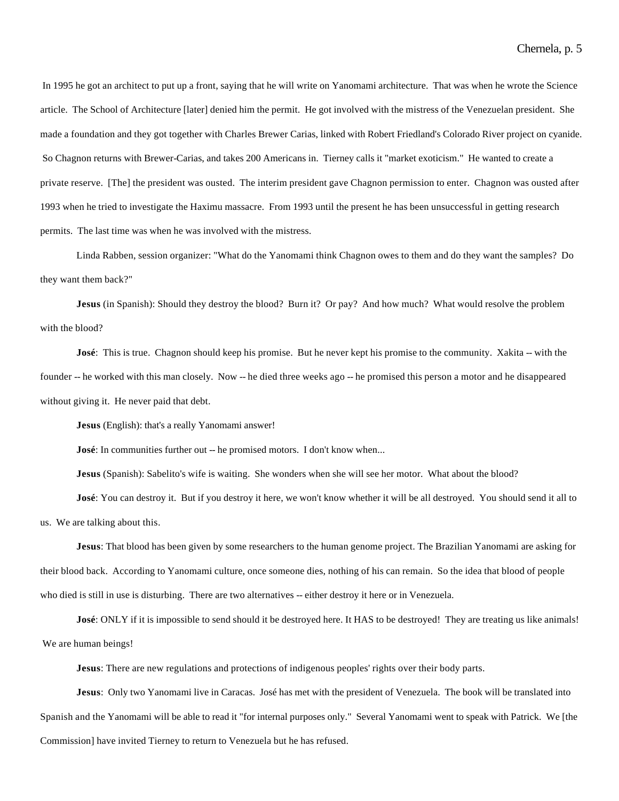In 1995 he got an architect to put up a front, saying that he will write on Yanomami architecture. That was when he wrote the Science article. The School of Architecture [later] denied him the permit. He got involved with the mistress of the Venezuelan president. She made a foundation and they got together with Charles Brewer Carias, linked with Robert Friedland's Colorado River project on cyanide. So Chagnon returns with Brewer-Carias, and takes 200 Americans in. Tierney calls it "market exoticism." He wanted to create a private reserve. [The] the president was ousted. The interim president gave Chagnon permission to enter. Chagnon was ousted after 1993 when he tried to investigate the Haximu massacre. From 1993 until the present he has been unsuccessful in getting research permits. The last time was when he was involved with the mistress.

Linda Rabben, session organizer: "What do the Yanomami think Chagnon owes to them and do they want the samples? Do they want them back?"

**Jesus** (in Spanish): Should they destroy the blood? Burn it? Or pay? And how much? What would resolve the problem with the blood?

**José**: This is true. Chagnon should keep his promise. But he never kept his promise to the community. Xakita -- with the founder -- he worked with this man closely. Now -- he died three weeks ago -- he promised this person a motor and he disappeared without giving it. He never paid that debt.

**Jesus** (English): that's a really Yanomami answer!

**José**: In communities further out -- he promised motors. I don't know when...

**Jesus** (Spanish): Sabelito's wife is waiting. She wonders when she will see her motor. What about the blood?

**José**: You can destroy it. But if you destroy it here, we won't know whether it will be all destroyed. You should send it all to us. We are talking about this.

**Jesus**: That blood has been given by some researchers to the human genome project. The Brazilian Yanomami are asking for their blood back. According to Yanomami culture, once someone dies, nothing of his can remain. So the idea that blood of people who died is still in use is disturbing. There are two alternatives -- either destroy it here or in Venezuela.

**José**: ONLY if it is impossible to send should it be destroyed here. It HAS to be destroyed! They are treating us like animals! We are human beings!

**Jesus**: There are new regulations and protections of indigenous peoples' rights over their body parts.

**Jesus**: Only two Yanomami live in Caracas. José has met with the president of Venezuela. The book will be translated into Spanish and the Yanomami will be able to read it "for internal purposes only." Several Yanomami went to speak with Patrick. We [the Commission] have invited Tierney to return to Venezuela but he has refused.